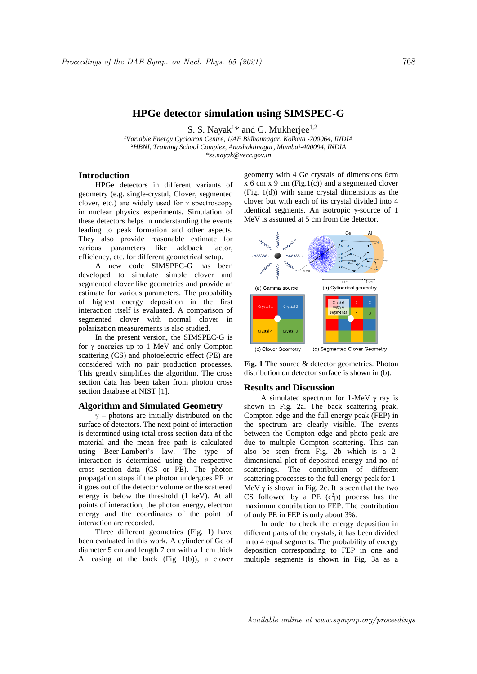# **HPGe detector simulation using SIMSPEC-G**

S. S. Nayak<sup>1\*</sup> and G. Mukherjee<sup>1,2</sup>

*<sup>1</sup>Variable Energy Cyclotron Centre, 1/AF Bidhannagar, Kolkata -700064, INDIA <sup>2</sup>HBNI, Training School Complex, Anushaktinagar, Mumbai-400094, INDIA \*ss.nayak@vecc.gov.in*

## **Introduction**

HPGe detectors in different variants of geometry (e.g. single-crystal, Clover, segmented clover, etc.) are widely used for  $\gamma$  spectroscopy in nuclear physics experiments. Simulation of these detectors helps in understanding the events leading to peak formation and other aspects. They also provide reasonable estimate for various parameters like addback factor, efficiency, etc. for different geometrical setup.

A new code SIMSPEC-G has been developed to simulate simple clover and segmented clover like geometries and provide an estimate for various parameters. The probability of highest energy deposition in the first interaction itself is evaluated. A comparison of segmented clover with normal clover in polarization measurements is also studied.

In the present version, the SIMSPEC-G is for γ energies up to 1 MeV and only Compton scattering (CS) and photoelectric effect (PE) are considered with no pair production processes. This greatly simplifies the algorithm. The cross section data has been taken from photon cross section database at NIST [1].

### **Algorithm and Simulated Geometry**

 $\gamma$  – photons are initially distributed on the surface of detectors. The next point of interaction is determined using total cross section data of the material and the mean free path is calculated using Beer-Lambert's law. The type of interaction is determined using the respective cross section data (CS or PE). The photon propagation stops if the photon undergoes PE or it goes out of the detector volume or the scattered energy is below the threshold (1 keV). At all points of interaction, the photon energy, electron energy and the coordinates of the point of interaction are recorded.

Three different geometries (Fig. 1) have been evaluated in this work. A cylinder of Ge of diameter 5 cm and length 7 cm with a 1 cm thick Al casing at the back (Fig 1(b)), a clover

geometry with 4 Ge crystals of dimensions 6cm  $x$  6 cm  $x$  9 cm (Fig.1(c)) and a segmented clover (Fig. 1(d)) with same crystal dimensions as the clover but with each of its crystal divided into 4 identical segments. An isotropic γ-source of 1 MeV is assumed at 5 cm from the detector.



(c) Clover Geometry (d) Segmented Clover Geometry

**Fig. 1** The source & detector geometries. Photon distribution on detector surface is shown in (b).

#### **Results and Discussion**

A simulated spectrum for 1-MeV  $\gamma$  ray is shown in Fig. 2a. The back scattering peak, Compton edge and the full energy peak (FEP) in the spectrum are clearly visible. The events between the Compton edge and photo peak are due to multiple Compton scattering. This can also be seen from Fig. 2b which is a 2 dimensional plot of deposited energy and no. of scatterings. The contribution of different scattering processes to the full-energy peak for 1- MeV  $\nu$  is shown in Fig. 2c. It is seen that the two CS followed by a PE  $(c^2p)$  process has the maximum contribution to FEP. The contribution of only PE in FEP is only about 3%.

In order to check the energy deposition in different parts of the crystals, it has been divided in to 4 equal segments. The probability of energy deposition corresponding to FEP in one and multiple segments is shown in Fig. 3a as a